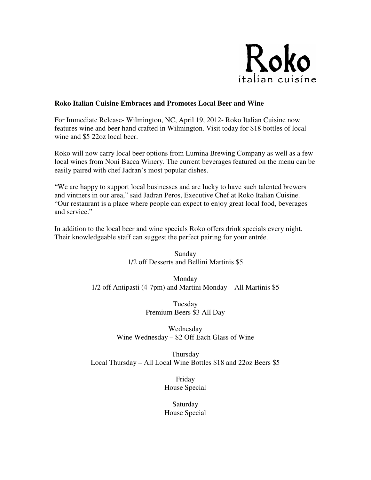

## **Roko Italian Cuisine Embraces and Promotes Local Beer and Wine**

For Immediate Release- Wilmington, NC, April 19, 2012- Roko Italian Cuisine now features wine and beer hand crafted in Wilmington. Visit today for \$18 bottles of local wine and \$5 22oz local beer.

Roko will now carry local beer options from Lumina Brewing Company as well as a few local wines from Noni Bacca Winery. The current beverages featured on the menu can be easily paired with chef Jadran's most popular dishes.

"We are happy to support local businesses and are lucky to have such talented brewers and vintners in our area," said Jadran Peros, Executive Chef at Roko Italian Cuisine. "Our restaurant is a place where people can expect to enjoy great local food, beverages and service."

In addition to the local beer and wine specials Roko offers drink specials every night. Their knowledgeable staff can suggest the perfect pairing for your entrée.

> Sunday 1/2 off Desserts and Bellini Martinis \$5

Monday 1/2 off Antipasti (4-7pm) and Martini Monday – All Martinis \$5

> Tuesday Premium Beers \$3 All Day

Wednesday Wine Wednesday – \$2 Off Each Glass of Wine

**Thursday** Local Thursday – All Local Wine Bottles \$18 and 22oz Beers \$5

> Friday House Special

Saturday House Special